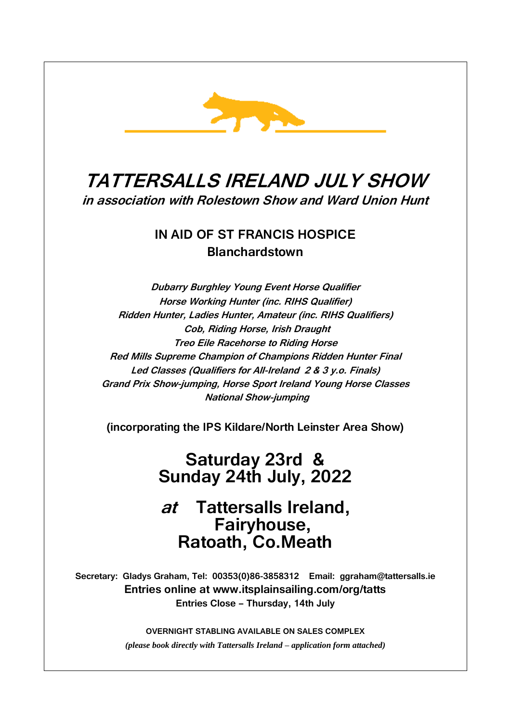

# **TATTERSALLS IRELAND JULY SHOW**

**in association with Rolestown Show and Ward Union Hunt**

**IN AID OF ST FRANCIS HOSPICE Blanchardstown**

**Dubarry Burghley Young Event Horse Qualifier Horse Working Hunter (inc. RIHS Qualifier) Ridden Hunter, Ladies Hunter, Amateur (inc. RIHS Qualifiers) Cob, Riding Horse, Irish Draught Treo Eile Racehorse to Riding Horse Red Mills Supreme Champion of Champions Ridden Hunter Final Led Classes (Qualifiers for All-Ireland 2 & 3 y.o. Finals) Grand Prix Show-jumping, Horse Sport Ireland Young Horse Classes National Show-jumping**

**(incorporating the IPS Kildare/North Leinster Area Show)**

**Saturday 23rd & Sunday 24th July, 2022**

**at Tattersalls Ireland, Fairyhouse, Ratoath, Co.Meath**

**Secretary: Gladys Graham, Tel: 00353(0)86-3858312 Email: ggraham@tattersalls.ie Entries online at www.itsplainsailing.com/org/tatts Entries Close – Thursday, 14th July**

> **OVERNIGHT STABLING AVAILABLE ON SALES COMPLEX**  *(please book directly with Tattersalls Ireland – application form attached)*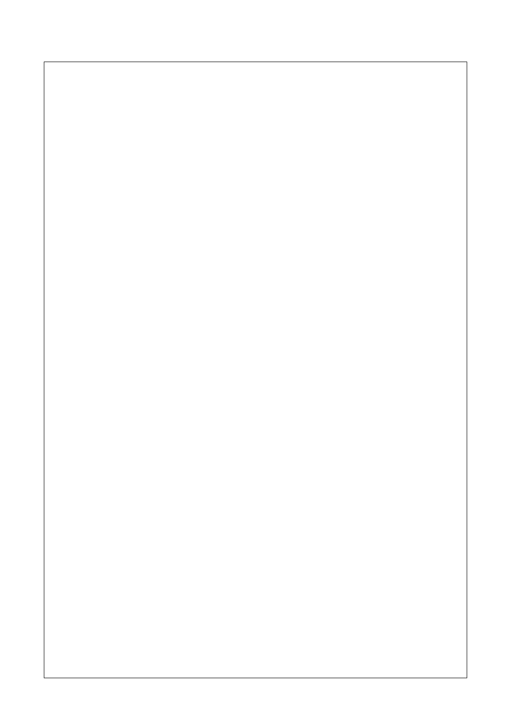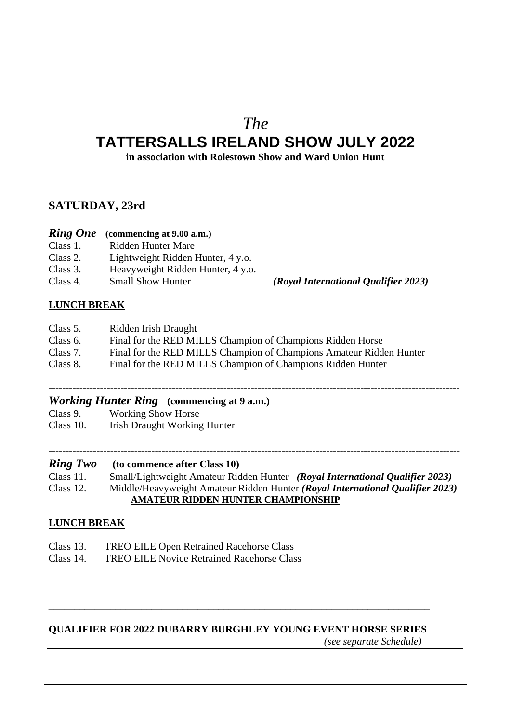# **TATTERSALLS IRELAND SHOW JULY 2022**

*The*

**in association with Rolestown Show and Ward Union Hunt**

### **SATURDAY, 23rd**

#### *Ring One* **(commencing at 9.00 a.m.)**

- Class 1. Ridden Hunter Mare
- Class 2. Lightweight Ridden Hunter, 4 y.o.<br>Class 3. Heavyweight Ridden Hunter. 4 y.o.
- Heavyweight Ridden Hunter, 4 y.o.
- Class 4. Small Show Hunter *(Royal International Qualifier 2023)*

#### **LUNCH BREAK**

- Class 5. Ridden Irish Draught
- Class 6. Final for the RED MILLS Champion of Champions Ridden Horse
- Class 7. Final for the RED MILLS Champion of Champions Amateur Ridden Hunter
- Class 8. Final for the RED MILLS Champion of Champions Ridden Hunter

#### ------------------------------------------------------------------------------------------------------------------------

#### *Working Hunter Ring* **(commencing at 9 a.m.)**

- Class 9. Working Show Horse
- Class 10. Irish Draught Working Hunter

#### ------------------------------------------------------------------------------------------------------------------------ *Ring Two* **(to commence after Class 10)**

Class 11. Small/Lightweight Amateur Ridden Hunter *(Royal International Qualifier 2023)* Class 12. Middle/Heavyweight Amateur Ridden Hunter *(Royal International Qualifier 2023)* **AMATEUR RIDDEN HUNTER CHAMPIONSHIP**

### **LUNCH BREAK**

- Class 13. TREO EILE Open Retrained Racehorse Class
- Class 14. TREO EILE Novice Retrained Racehorse Class

## **QUALIFIER FOR 2022 DUBARRY BURGHLEY YOUNG EVENT HORSE SERIES**

**\_\_\_\_\_\_\_\_\_\_\_\_\_\_\_\_\_\_\_\_\_\_\_\_\_\_\_\_\_\_\_\_\_\_\_\_\_\_\_\_\_\_\_\_\_\_\_\_\_\_\_\_\_\_\_\_\_\_\_\_\_\_\_\_\_\_\_\_\_\_\_\_\_\_**

*(see separate Schedule)*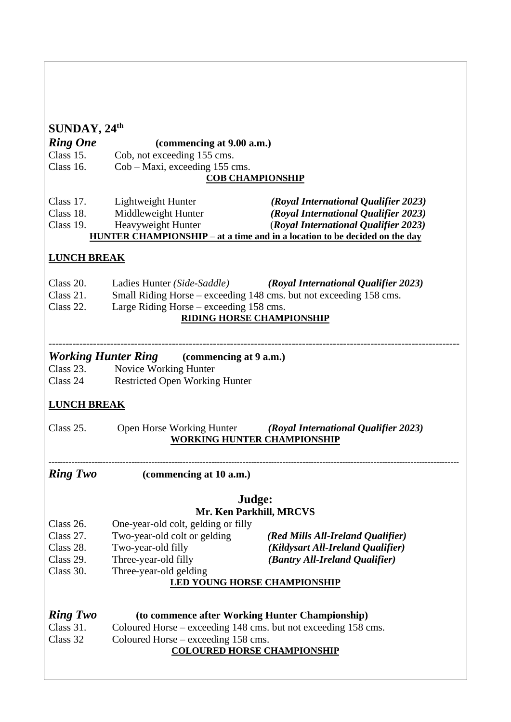## **SUNDAY, 24 th**

| DUI DI 11, 27      |                                                                    |                                                                            |
|--------------------|--------------------------------------------------------------------|----------------------------------------------------------------------------|
| <b>Ring One</b>    | (commencing at 9.00 a.m.)                                          |                                                                            |
| Class $15$ .       | Cob, not exceeding 155 cms.                                        |                                                                            |
| Class 16.          | Cob – Maxi, exceeding 155 cms.                                     |                                                                            |
|                    | <b>COB CHAMPIONSHIP</b>                                            |                                                                            |
| Class 17.          | Lightweight Hunter                                                 | (Royal International Qualifier 2023)                                       |
| Class 18.          | Middleweight Hunter                                                | (Royal International Qualifier 2023)                                       |
| Class 19.          | Heavyweight Hunter                                                 | (Royal International Qualifier 2023)                                       |
|                    |                                                                    | HUNTER CHAMPIONSHIP – at a time and in a location to be decided on the day |
| <b>LUNCH BREAK</b> |                                                                    |                                                                            |
| Class 20.          |                                                                    | Ladies Hunter (Side-Saddle) (Royal International Qualifier 2023)           |
| Class 21.          | Small Riding Horse - exceeding 148 cms. but not exceeding 158 cms. |                                                                            |
| Class 22.          | Large Riding Horse – exceeding 158 cms.                            |                                                                            |
|                    | <b>RIDING HORSE CHAMPIONSHIP</b>                                   |                                                                            |
|                    | <i>Working Hunter Ring</i> (commencing at 9 a.m.)                  |                                                                            |
| Class $23$ .       | Novice Working Hunter                                              |                                                                            |
| Class 24           | <b>Restricted Open Working Hunter</b>                              |                                                                            |
|                    |                                                                    |                                                                            |
| <b>LUNCH BREAK</b> |                                                                    |                                                                            |
| Class 25.          | <b>WORKING HUNTER CHAMPIONSHIP</b>                                 | Open Horse Working Hunter (Royal International Qualifier 2023)             |
| <b>Ring Two</b>    | (commencing at 10 a.m.)                                            |                                                                            |
|                    | Judge:                                                             |                                                                            |
|                    | Mr. Ken Parkhill, MRCVS                                            |                                                                            |
| Class 26.          | One-year-old colt, gelding or filly                                |                                                                            |
| Class 27.          | Two-year-old colt or gelding                                       | (Red Mills All-Ireland Qualifier)                                          |
| Class 28.          | Two-year-old filly                                                 | (Kildysart All-Ireland Qualifier)                                          |
| Class 29.          | Three-year-old filly                                               | (Bantry All-Ireland Qualifier)                                             |
| Class 30.          | Three-year-old gelding                                             |                                                                            |
|                    | <b>LED YOUNG HORSE CHAMPIONSHIP</b>                                |                                                                            |
| <b>Ring Two</b>    | (to commence after Working Hunter Championship)                    |                                                                            |
| Class 31.          | Coloured Horse – exceeding 148 cms. but not exceeding 158 cms.     |                                                                            |
| Class 32           | Coloured Horse – exceeding 158 cms.                                |                                                                            |
|                    | <b>COLOURED HORSE CHAMPIONSHIP</b>                                 |                                                                            |
|                    |                                                                    |                                                                            |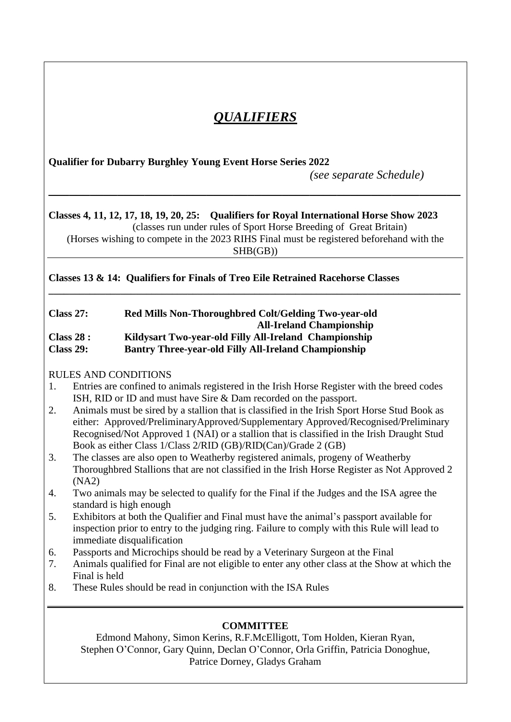# *QUALIFIERS*

#### **Qualifier for Dubarry Burghley Young Event Horse Series 2022**

*(see separate Schedule)*

#### **Classes 4, 11, 12, 17, 18, 19, 20, 25: Qualifiers for Royal International Horse Show 2023**

(classes run under rules of Sport Horse Breeding of Great Britain)

(Horses wishing to compete in the 2023 RIHS Final must be registered beforehand with the SHB(GB))

**\_\_\_\_\_\_\_\_\_\_\_\_\_\_\_\_\_\_\_\_\_\_\_\_\_\_\_\_\_\_\_\_\_\_\_\_\_\_\_\_\_\_\_\_\_\_\_\_\_\_\_\_\_\_\_\_\_\_\_\_\_\_\_\_\_\_\_\_\_\_\_\_\_\_\_\_\_\_\_\_**

**\_\_\_\_\_\_\_\_\_\_\_\_\_\_\_\_\_\_\_\_\_\_\_\_\_\_\_\_\_\_\_\_\_\_\_\_\_\_\_\_\_\_\_\_\_\_\_\_\_\_\_\_\_\_\_\_\_\_\_\_**

#### **Classes 13 & 14: Qualifiers for Finals of Treo Eile Retrained Racehorse Classes**

**Class 27: Red Mills Non-Thoroughbred Colt/Gelding Two-year-old All-Ireland Championship Class 28 : Kildysart Two-year-old Filly All-Ireland Championship Class 29: Bantry Three-year-old Filly All-Ireland Championship**

#### RULES AND CONDITIONS

- 1. Entries are confined to animals registered in the Irish Horse Register with the breed codes ISH, RID or ID and must have Sire & Dam recorded on the passport.
- 2. Animals must be sired by a stallion that is classified in the Irish Sport Horse Stud Book as either: Approved/PreliminaryApproved/Supplementary Approved/Recognised/Preliminary Recognised/Not Approved 1 (NAI) or a stallion that is classified in the Irish Draught Stud Book as either Class 1/Class 2/RID (GB)/RID(Can)/Grade 2 (GB)
- 3. The classes are also open to Weatherby registered animals, progeny of Weatherby Thoroughbred Stallions that are not classified in the Irish Horse Register as Not Approved 2 (NA2)
- 4. Two animals may be selected to qualify for the Final if the Judges and the ISA agree the standard is high enough
- 5. Exhibitors at both the Qualifier and Final must have the animal's passport available for inspection prior to entry to the judging ring. Failure to comply with this Rule will lead to immediate disqualification
- 6. Passports and Microchips should be read by a Veterinary Surgeon at the Final
- 7. Animals qualified for Final are not eligible to enter any other class at the Show at which the Final is held
- 8. These Rules should be read in conjunction with the ISA Rules

#### **COMMITTEE**

Edmond Mahony, Simon Kerins, R.F.McElligott, Tom Holden, Kieran Ryan, Stephen O'Connor, Gary Quinn, Declan O'Connor, Orla Griffin, Patricia Donoghue, Patrice Dorney, Gladys Graham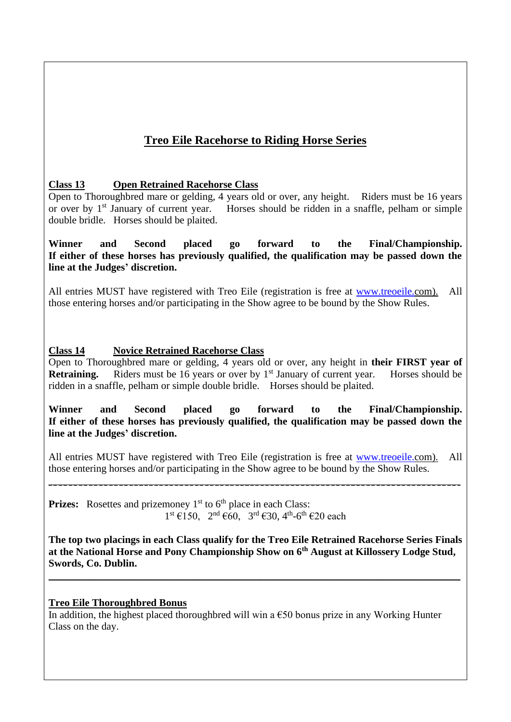# **Treo Eile Racehorse to Riding Horse Series**

#### **Class 13 Open Retrained Racehorse Class**

Open to Thoroughbred mare or gelding, 4 years old or over, any height. Riders must be 16 years or over by 1<sup>st</sup> January of current year. Horses should be ridden in a snaffle, pelham or simple double bridle. Horses should be plaited.

**Winner and Second placed go forward to the Final/Championship. If either of these horses has previously qualified, the qualification may be passed down the line at the Judges' discretion.**

All entries MUST have registered with Treo Eile (registration is free at [www.treoeile.c](http://www.treoeile./)om). All those entering horses and/or participating in the Show agree to be bound by the Show Rules.

#### **Class 14 Novice Retrained Racehorse Class**

Open to Thoroughbred mare or gelding, 4 years old or over, any height in **their FIRST year of Retraining.** Riders must be 16 years or over by 1<sup>st</sup> January of current year. Horses should be ridden in a snaffle, pelham or simple double bridle. Horses should be plaited.

**Winner and Second placed go forward to the Final/Championship. If either of these horses has previously qualified, the qualification may be passed down the line at the Judges' discretion.**

All entries MUST have registered with Treo Eile (registration is free at [www.treoeile.c](http://www.treoeile./)om). All those entering horses and/or participating in the Show agree to be bound by the Show Rules.

\_\_\_\_\_\_\_\_\_\_\_\_\_\_\_\_\_\_\_\_\_\_\_\_\_\_\_\_\_\_\_\_\_\_\_\_\_\_\_\_\_\_\_\_\_\_\_\_\_\_\_\_\_\_\_\_\_\_\_\_\_\_\_\_\_\_\_\_\_\_\_\_\_\_\_\_\_\_\_\_

**Prizes:** Rosettes and prizemoney  $1<sup>st</sup>$  to  $6<sup>th</sup>$  place in each Class: 1<sup>st</sup> €150, 2<sup>nd</sup> €60, 3<sup>rd</sup> €30, 4<sup>th</sup>-6<sup>th</sup> €20 each

**The top two placings in each Class qualify for the Treo Eile Retrained Racehorse Series Finals at the National Horse and Pony Championship Show on 6th August at Killossery Lodge Stud, Swords, Co. Dublin.**

\_\_\_\_\_\_\_\_\_\_\_\_\_\_\_\_\_\_\_\_\_\_\_\_\_\_\_\_\_\_\_\_\_\_\_\_\_\_\_\_\_\_\_\_\_\_\_\_\_\_\_\_\_\_\_\_\_\_\_\_\_\_\_\_\_\_\_\_\_\_\_\_\_\_\_\_\_\_\_\_

#### **Treo Eile Thoroughbred Bonus**

In addition, the highest placed thoroughbred will win a  $\epsilon$ 50 bonus prize in any Working Hunter Class on the day.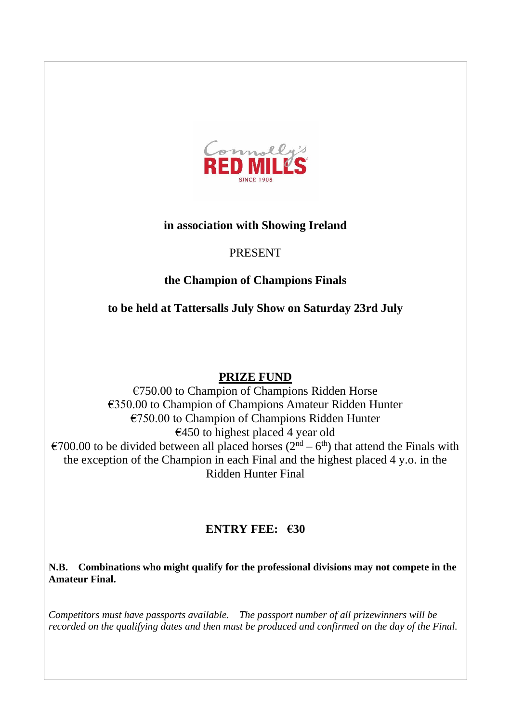

#### **in association with Showing Ireland**

#### PRESENT

## **the Champion of Champions Finals**

**to be held at Tattersalls July Show on Saturday 23rd July**

# **PRIZE FUND**

€750.00 to Champion of Champions Ridden Horse €350.00 to Champion of Champions Amateur Ridden Hunter €750.00 to Champion of Champions Ridden Hunter  $€450$  to highest placed 4 year old €700.00 to be divided between all placed horses ( $2<sup>nd</sup> - 6<sup>th</sup>$ ) that attend the Finals with the exception of the Champion in each Final and the highest placed 4 y.o. in the Ridden Hunter Final

### **ENTRY FEE: €30**

**N.B. Combinations who might qualify for the professional divisions may not compete in the Amateur Final.**

*Competitors must have passports available. The passport number of all prizewinners will be recorded on the qualifying dates and then must be produced and confirmed on the day of the Final.*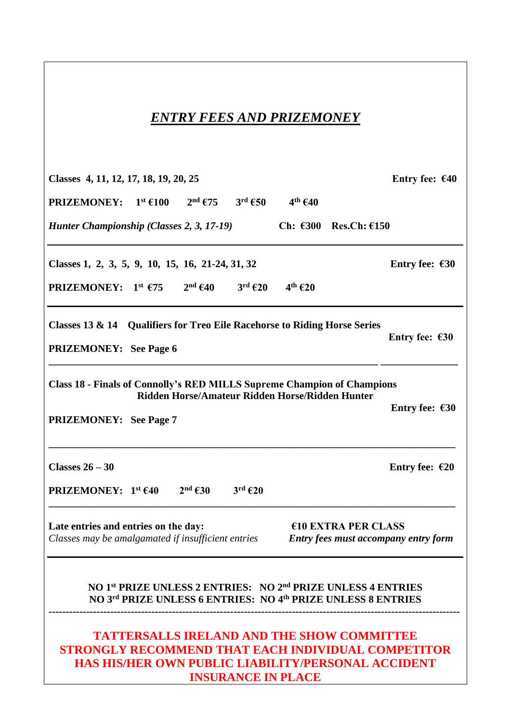# *ENTRY FEES AND PRIZEMONEY*

| Classes 4, 11, 12, 17, 18, 19, 20, 25                                                                                                                                                                    | Entry fee: $€40$         |
|----------------------------------------------------------------------------------------------------------------------------------------------------------------------------------------------------------|--------------------------|
| $2nd \in 75$ $3rd \in 50$<br><b>PRIZEMONEY:</b> $1^{st} \in 100$<br>$4^{th}$ €40                                                                                                                         |                          |
| Ch: $\epsilon$ 300 Res.Ch: $\epsilon$ 150<br>Hunter Championship (Classes 2, 3, 17-19)                                                                                                                   |                          |
| Classes 1, 2, 3, 5, 9, 10, 15, 16, 21-24, 31, 32                                                                                                                                                         | Entry fee: $\epsilon$ 30 |
| $2nd \in 40$<br>$3^{\rm rd}$ €20<br>$4th$ €20<br><b>PRIZEMONEY:</b> $1^{st}$ $\in$ 75                                                                                                                    |                          |
| Classes 13 & 14 Qualifiers for Treo Eile Racehorse to Riding Horse Series<br><b>PRIZEMONEY:</b> See Page 6                                                                                               | Entry fee: $€30$         |
| <b>Class 18 - Finals of Connolly's RED MILLS Supreme Champion of Champions</b><br>Ridden Horse/Amateur Ridden Horse/Ridden Hunter<br><b>PRIZEMONEY:</b> See Page 7                                       | Entry fee: $\epsilon$ 30 |
| Classes $26 - 30$                                                                                                                                                                                        | Entry fee: $\epsilon$ 20 |
| $3^{\text{rd}}$ $620$<br><b>PRIZEMONEY:</b> $1^{st} \in 40$<br>$2nd \in 30$                                                                                                                              |                          |
| €10 EXTRA PER CLASS<br>Late entries and entries on the day:<br>Classes may be amalgamated if insufficient entries<br><b>Entry fees must accompany entry form</b>                                         |                          |
| NO 1st PRIZE UNLESS 2 ENTRIES: NO 2nd PRIZE UNLESS 4 ENTRIES<br>NO 3rd PRIZE UNLESS 6 ENTRIES: NO 4th PRIZE UNLESS 8 ENTRIES                                                                             |                          |
| <b>TATTERSALLS IRELAND AND THE SHOW COMMITTEE</b><br><b>STRONGLY RECOMMEND THAT EACH INDIVIDUAL COMPETITOR</b><br><b>HAS HIS/HER OWN PUBLIC LIABILITY/PERSONAL ACCIDENT</b><br><b>INSURANCE IN PLACE</b> |                          |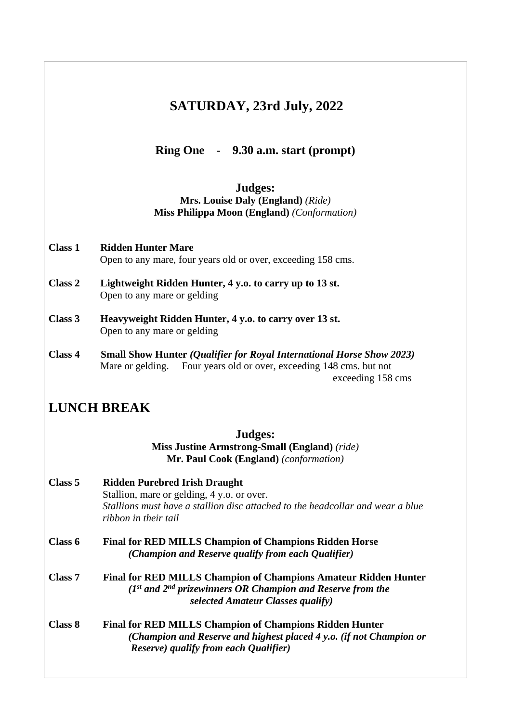# **SATURDAY, 23rd July, 2022**

**Ring One - 9.30 a.m. start (prompt)**

**Judges: Mrs. Louise Daly (England)** *(Ride)* **Miss Philippa Moon (England)** *(Conformation)*

#### **Class 1 Ridden Hunter Mare** Open to any mare, four years old or over, exceeding 158 cms.

- **Class 2 Lightweight Ridden Hunter, 4 y.o. to carry up to 13 st.** Open to any mare or gelding
- **Class 3 Heavyweight Ridden Hunter, 4 y.o. to carry over 13 st.** Open to any mare or gelding
- **Class 4 Small Show Hunter** *(Qualifier for Royal International Horse Show 2023)* Mare or gelding. Four years old or over, exceeding 148 cms. but not exceeding 158 cms

# **LUNCH BREAK**

#### **Judges:**

#### **Miss Justine Armstrong-Small (England)** *(ride)* **Mr. Paul Cook (England)** *(conformation)*

| Class 5 | <b>Ridden Purebred Irish Draught</b><br>Stallion, mare or gelding, 4 y.o. or over.<br>Stallions must have a stallion disc attached to the headcollar and wear a blue<br>ribbon in their tail |
|---------|----------------------------------------------------------------------------------------------------------------------------------------------------------------------------------------------|
| Class 6 | <b>Final for RED MILLS Champion of Champions Ridden Horse</b><br>(Champion and Reserve qualify from each Qualifier)                                                                          |
| Class 7 | <b>Final for RED MILLS Champion of Champions Amateur Ridden Hunter</b><br>$(Ist$ and $2nd$ prizewinners OR Champion and Reserve from the<br>selected Amateur Classes qualify)                |
| Class 8 | <b>Final for RED MILLS Champion of Champions Ridden Hunter</b><br>(Champion and Reserve and highest placed 4 y.o. (if not Champion or<br><b>Reserve)</b> qualify from each Qualifier)        |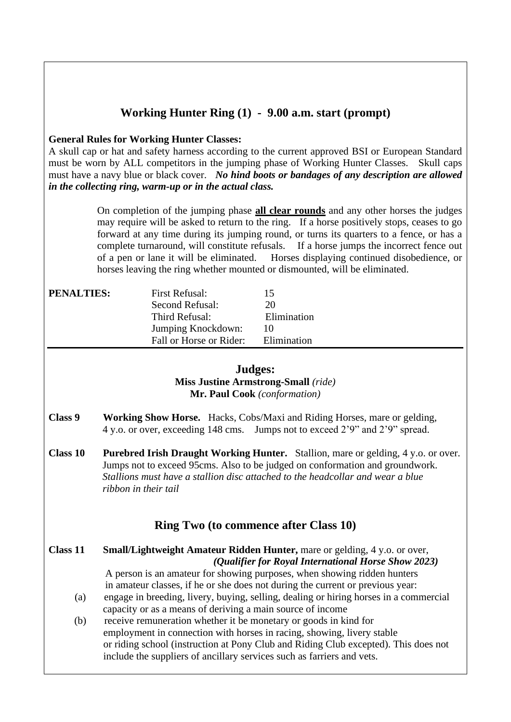#### **Working Hunter Ring (1) - 9.00 a.m. start (prompt)**

#### **General Rules for Working Hunter Classes:**

A skull cap or hat and safety harness according to the current approved BSI or European Standard must be worn by ALL competitors in the jumping phase of Working Hunter Classes. Skull caps must have a navy blue or black cover. *No hind boots or bandages of any description are allowed in the collecting ring, warm-up or in the actual class.*

> On completion of the jumping phase **all clear rounds** and any other horses the judges may require will be asked to return to the ring. If a horse positively stops, ceases to go forward at any time during its jumping round, or turns its quarters to a fence, or has a complete turnaround, will constitute refusals. If a horse jumps the incorrect fence out of a pen or lane it will be eliminated. Horses displaying continued disobedience, or horses leaving the ring whether mounted or dismounted, will be eliminated.

| <b>PENALTIES:</b> | <b>First Refusal:</b>   | 15          |
|-------------------|-------------------------|-------------|
|                   | Second Refusal:         | 20          |
|                   | Third Refusal:          | Elimination |
|                   | Jumping Knockdown:      | 10          |
|                   | Fall or Horse or Rider: | Elimination |

#### **Judges: Miss Justine Armstrong-Small** *(ride)* **Mr. Paul Cook** *(conformation)*

- **Class 9 Working Show Horse.** Hacks, Cobs/Maxi and Riding Horses, mare or gelding, 4 y.o. or over, exceeding 148 cms. Jumps not to exceed 2'9" and 2'9" spread.
- **Class 10 Purebred Irish Draught Working Hunter.** Stallion, mare or gelding, 4 y.o. or over. Jumps not to exceed 95cms. Also to be judged on conformation and groundwork.  *Stallions must have a stallion disc attached to the headcollar and wear a blue ribbon in their tail*

#### **Ring Two (to commence after Class 10)**

#### **Class 11 Small/Lightweight Amateur Ridden Hunter,** mare or gelding, 4 y.o. or over, *(Qualifier for Royal International Horse Show 2023)*

 A person is an amateur for showing purposes, when showing ridden hunters in amateur classes, if he or she does not during the current or previous year:

- e (a) engage in breeding, livery, buying, selling, dealing or hiring horses in a commercial capacity or as a means of deriving a main source of income
- (b) receive remuneration whether it be monetary or goods in kind for employment in connection with horses in racing, showing, livery stable or riding school (instruction at Pony Club and Riding Club excepted). This does not include the suppliers of ancillary services such as farriers and vets.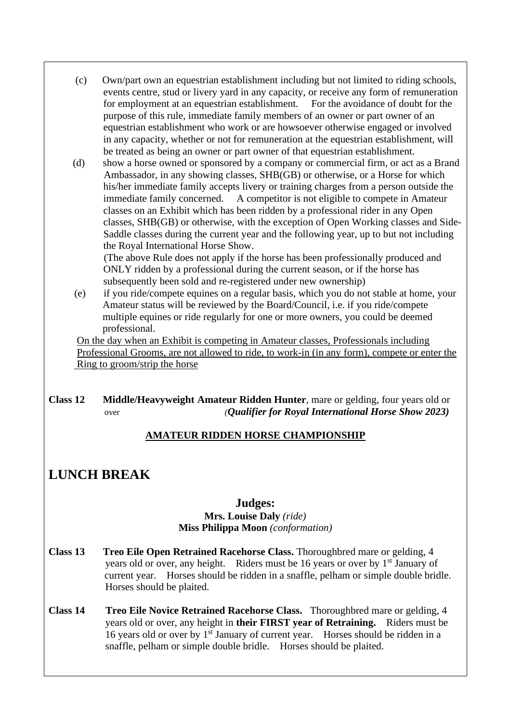- (c) Own/part own an equestrian establishment including but not limited to riding schools, events centre, stud or livery yard in any capacity, or receive any form of remuneration for employment at an equestrian establishment. For the avoidance of doubt for the purpose of this rule, immediate family members of an owner or part owner of an equestrian establishment who work or are howsoever otherwise engaged or involved in any capacity, whether or not for remuneration at the equestrian establishment, will be treated as being an owner or part owner of that equestrian establishment.
- (d) show a horse owned or sponsored by a company or commercial firm, or act as a Brand Ambassador, in any showing classes, SHB(GB) or otherwise, or a Horse for which his/her immediate family accepts livery or training charges from a person outside the immediate family concerned. A competitor is not eligible to compete in Amateur classes on an Exhibit which has been ridden by a professional rider in any Open classes, SHB(GB) or otherwise, with the exception of Open Working classes and Side-Saddle classes during the current year and the following year, up to but not including the Royal International Horse Show.

 (The above Rule does not apply if the horse has been professionally produced and ONLY ridden by a professional during the current season, or if the horse has subsequently been sold and re-registered under new ownership)

 (e) if you ride/compete equines on a regular basis, which you do not stable at home, your Amateur status will be reviewed by the Board/Council, i.e. if you ride/compete multiple equines or ride regularly for one or more owners, you could be deemed professional.

 On the day when an Exhibit is competing in Amateur classes, Professionals including Professional Grooms, are not allowed to ride, to work-in (in any form), compete or enter the Ring to groom/strip the horse

#### **Class 12 Middle/Heavyweight Amateur Ridden Hunter**, mare or gelding, four years old or over *(Qualifier for Royal International Horse Show 2023)*

#### **AMATEUR RIDDEN HORSE CHAMPIONSHIP**

# **LUNCH BREAK**

#### **Judges:**

#### **Mrs. Louise Daly** *(ride)* **Miss Philippa Moon** *(conformation)*

- **Class 13 Treo Eile Open Retrained Racehorse Class.** Thoroughbred mare or gelding, 4 years old or over, any height. Riders must be 16 years or over by 1<sup>st</sup> January of current year. Horses should be ridden in a snaffle, pelham or simple double bridle. Horses should be plaited.
- **Class 14 Treo Eile Novice Retrained Racehorse Class.** Thoroughbred mare or gelding, 4 years old or over, any height in **their FIRST year of Retraining.** Riders must be 16 years old or over by 1st January of current year. Horses should be ridden in a snaffle, pelham or simple double bridle. Horses should be plaited.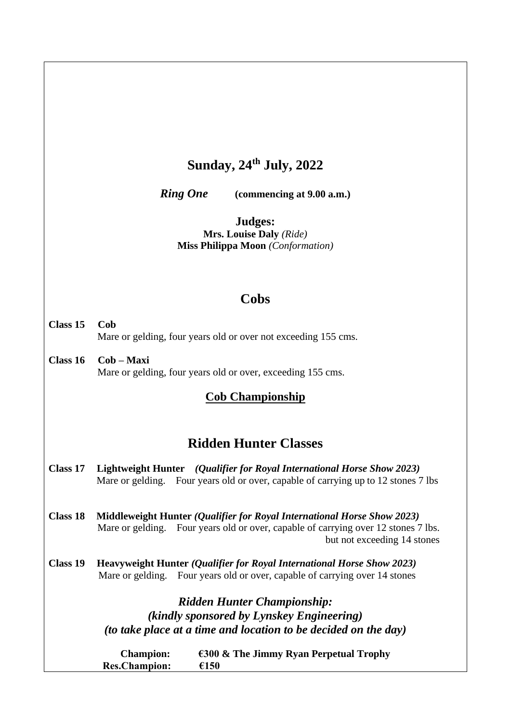# **Sunday, 24th July, 2022**

*Ring One* **(commencing at 9.00 a.m.)**

**Judges: Mrs. Louise Daly** *(Ride)* **Miss Philippa Moon** *(Conformation)*

#### **Cobs**

- **Class 15 Cob** Mare or gelding, four years old or over not exceeding 155 cms.
- **Class 16 Cob – Maxi** Mare or gelding, four years old or over, exceeding 155 cms.

#### **Cob Championship**

# **Ridden Hunter Classes**

- **Class 17 Lightweight Hunter** *(Qualifier for Royal International Horse Show 2023)* Mare or gelding. Four years old or over, capable of carrying up to 12 stones 7 lbs
- **Class 18 Middleweight Hunter** *(Qualifier for Royal International Horse Show 2023)* Mare or gelding. Four years old or over, capable of carrying over 12 stones 7 lbs. but not exceeding 14 stones
- **Class 19 Heavyweight Hunter** *(Qualifier for Royal International Horse Show 2023)* Mare or gelding. Four years old or over, capable of carrying over 14 stones

#### *Ridden Hunter Championship: (kindly sponsored by Lynskey Engineering) (to take place at a time and location to be decided on the day)*

**Champion: €300 & The Jimmy Ryan Perpetual Trophy Res.Champion: €150**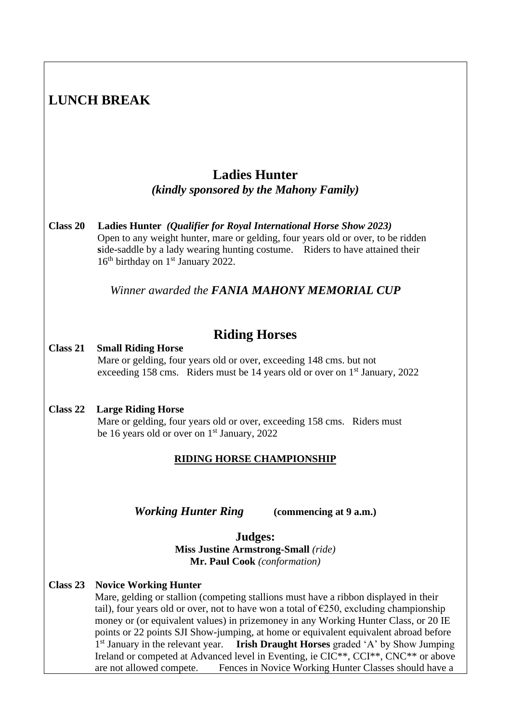| <b>LUNCH BREAK</b>                                                                    |                                                                                                                                                                                                                                                                                                                                                                                                                                                                                                                 |  |  |  |
|---------------------------------------------------------------------------------------|-----------------------------------------------------------------------------------------------------------------------------------------------------------------------------------------------------------------------------------------------------------------------------------------------------------------------------------------------------------------------------------------------------------------------------------------------------------------------------------------------------------------|--|--|--|
| <b>Ladies Hunter</b><br>(kindly sponsored by the Mahony Family)                       |                                                                                                                                                                                                                                                                                                                                                                                                                                                                                                                 |  |  |  |
| Class 20                                                                              | Ladies Hunter (Qualifier for Royal International Horse Show 2023)<br>Open to any weight hunter, mare or gelding, four years old or over, to be ridden<br>side-saddle by a lady wearing hunting costume. Riders to have attained their<br>16 <sup>th</sup> birthday on 1 <sup>st</sup> January 2022.                                                                                                                                                                                                             |  |  |  |
|                                                                                       | Winner awarded the FANIA MAHONY MEMORIAL CUP                                                                                                                                                                                                                                                                                                                                                                                                                                                                    |  |  |  |
|                                                                                       | <b>Riding Horses</b>                                                                                                                                                                                                                                                                                                                                                                                                                                                                                            |  |  |  |
| <b>Class 21</b>                                                                       | <b>Small Riding Horse</b><br>Mare or gelding, four years old or over, exceeding 148 cms. but not<br>exceeding 158 cms. Riders must be 14 years old or over on 1 <sup>st</sup> January, 2022                                                                                                                                                                                                                                                                                                                     |  |  |  |
| Class 22                                                                              | <b>Large Riding Horse</b><br>Mare or gelding, four years old or over, exceeding 158 cms. Riders must<br>be 16 years old or over on 1 <sup>st</sup> January, 2022                                                                                                                                                                                                                                                                                                                                                |  |  |  |
| <b>RIDING HORSE CHAMPIONSHIP</b>                                                      |                                                                                                                                                                                                                                                                                                                                                                                                                                                                                                                 |  |  |  |
|                                                                                       | <b>Working Hunter Ring</b><br>(commencing at 9 a.m.)                                                                                                                                                                                                                                                                                                                                                                                                                                                            |  |  |  |
| Judges:<br><b>Miss Justine Armstrong-Small</b> (ride)<br>Mr. Paul Cook (conformation) |                                                                                                                                                                                                                                                                                                                                                                                                                                                                                                                 |  |  |  |
| Class 23                                                                              | <b>Novice Working Hunter</b><br>Mare, gelding or stallion (competing stallions must have a ribbon displayed in their<br>tail), four years old or over, not to have won a total of $\epsilon$ 250, excluding championship<br>money or (or equivalent values) in prizemoney in any Working Hunter Class, or 20 IE<br>points or 22 points SJI Show-jumping, at home or equivalent equivalent abroad before<br>1 <sup>st</sup> January in the relevant year. <b>Irish Draught Horses</b> graded 'A' by Show Jumping |  |  |  |

Ireland or competed at Advanced level in Eventing, ie CIC\*\*, CCI\*\*, CNC\*\* or above

are not allowed compete. Fences in Novice Working Hunter Classes should have a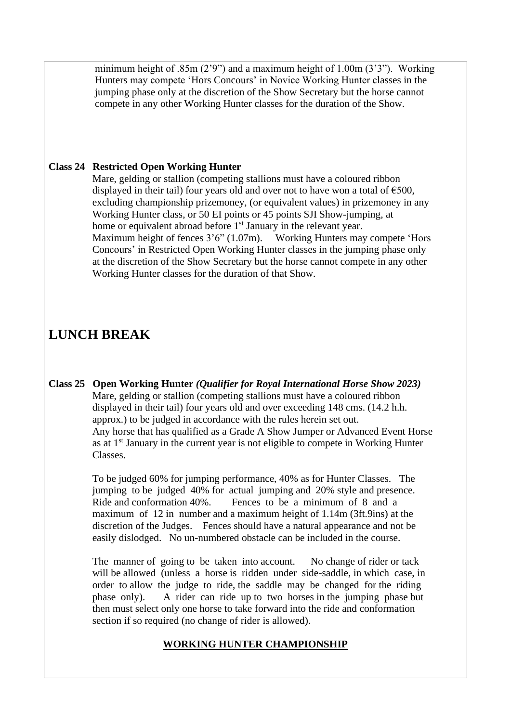minimum height of .85m (2'9") and a maximum height of 1.00m (3'3"). Working Hunters may compete 'Hors Concours' in Novice Working Hunter classes in the jumping phase only at the discretion of the Show Secretary but the horse cannot compete in any other Working Hunter classes for the duration of the Show.

#### **Class 24 Restricted Open Working Hunter**

 Mare, gelding or stallion (competing stallions must have a coloured ribbon displayed in their tail) four years old and over not to have won a total of  $\epsilon$ 500, excluding championship prizemoney, (or equivalent values) in prizemoney in any Working Hunter class, or 50 EI points or 45 points SJI Show-jumping, at home or equivalent abroad before 1<sup>st</sup> January in the relevant year. Maximum height of fences 3'6" (1.07m). Working Hunters may compete 'Hors Concours' in Restricted Open Working Hunter classes in the jumping phase only at the discretion of the Show Secretary but the horse cannot compete in any other Working Hunter classes for the duration of that Show.

## **LUNCH BREAK**

**Class 25 Open Working Hunter** *(Qualifier for Royal International Horse Show 2023)* Mare, gelding or stallion (competing stallions must have a coloured ribbon displayed in their tail) four years old and over exceeding 148 cms. (14.2 h.h. approx.) to be judged in accordance with the rules herein set out. Any horse that has qualified as a Grade A Show Jumper or Advanced Event Horse as at 1<sup>st</sup> January in the current year is not eligible to compete in Working Hunter Classes.

> To be judged 60% for jumping performance, 40% as for Hunter Classes. The jumping to be judged 40% for actual jumping and 20% style and presence. Ride and conformation 40%. Fences to be a minimum of 8 and a maximum of 12 in number and a maximum height of 1.14m (3ft.9ins) at the discretion of the Judges. Fences should have a natural appearance and not be easily dislodged. No un-numbered obstacle can be included in the course.

The manner of going to be taken into account. No change of rider or tack will be allowed (unless a horse is ridden under side-saddle, in which case, in order to allow the judge to ride, the saddle may be changed for the riding phase only). A rider can ride up to two horses in the jumping phase but then must select only one horse to take forward into the ride and conformation section if so required (no change of rider is allowed).

#### **WORKING HUNTER CHAMPIONSHIP**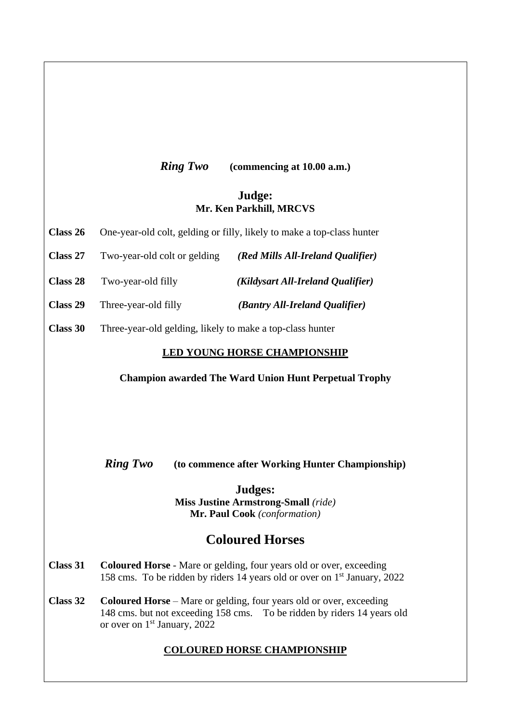# *Ring Two* **(commencing at 10.00 a.m.)**

#### **Judge: Mr. Ken Parkhill, MRCVS**

| Class 26        | One-year-old colt, gelding or filly, likely to make a top-class hunter          |                                                                                                                                                                     |  |  |
|-----------------|---------------------------------------------------------------------------------|---------------------------------------------------------------------------------------------------------------------------------------------------------------------|--|--|
| Class 27        | Two-year-old colt or gelding                                                    | (Red Mills All-Ireland Qualifier)                                                                                                                                   |  |  |
| Class 28        | Two-year-old filly                                                              | (Kildysart All-Ireland Qualifier)                                                                                                                                   |  |  |
| Class 29        | Three-year-old filly                                                            | (Bantry All-Ireland Qualifier)                                                                                                                                      |  |  |
| <b>Class 30</b> | Three-year-old gelding, likely to make a top-class hunter                       |                                                                                                                                                                     |  |  |
|                 | <b>LED YOUNG HORSE CHAMPIONSHIP</b>                                             |                                                                                                                                                                     |  |  |
|                 |                                                                                 | <b>Champion awarded The Ward Union Hunt Perpetual Trophy</b>                                                                                                        |  |  |
|                 | <b>Ring Two</b>                                                                 | (to commence after Working Hunter Championship)<br>Judges:<br><b>Miss Justine Armstrong-Small</b> (ride)<br>Mr. Paul Cook (conformation)<br><b>Coloured Horses</b>  |  |  |
| <b>Class 31</b> |                                                                                 | <b>Coloured Horse - Mare or gelding, four years old or over, exceeding</b><br>158 cms. To be ridden by riders 14 years old or over on 1 <sup>st</sup> January, 2022 |  |  |
| Class 32        | 148 cms. but not exceeding 158 cms.<br>or over on 1 <sup>st</sup> January, 2022 | <b>Coloured Horse</b> – Mare or gelding, four years old or over, exceeding<br>To be ridden by riders 14 years old                                                   |  |  |
|                 |                                                                                 | <b>COLOURED HORSE CHAMPIONSHIP</b>                                                                                                                                  |  |  |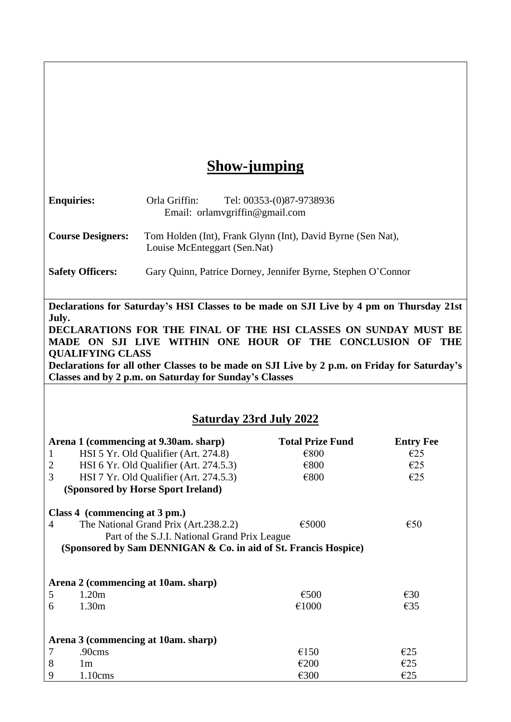# **Show-jumping**

|                                                                                                                                                                                                                                                                                                                                                                                                                          | <b>Enquiries:</b>              | Orla Griffin:<br>Email: orlamvgriffin@gmail.com                                                                                                                                                         | Tel: 00353-(0)87-9738936                        |                                       |
|--------------------------------------------------------------------------------------------------------------------------------------------------------------------------------------------------------------------------------------------------------------------------------------------------------------------------------------------------------------------------------------------------------------------------|--------------------------------|---------------------------------------------------------------------------------------------------------------------------------------------------------------------------------------------------------|-------------------------------------------------|---------------------------------------|
|                                                                                                                                                                                                                                                                                                                                                                                                                          | <b>Course Designers:</b>       | Tom Holden (Int), Frank Glynn (Int), David Byrne (Sen Nat),<br>Louise McEnteggart (Sen.Nat)                                                                                                             |                                                 |                                       |
|                                                                                                                                                                                                                                                                                                                                                                                                                          | <b>Safety Officers:</b>        | Gary Quinn, Patrice Dorney, Jennifer Byrne, Stephen O'Connor                                                                                                                                            |                                                 |                                       |
| Declarations for Saturday's HSI Classes to be made on SJI Live by 4 pm on Thursday 21st<br>July.<br>DECLARATIONS FOR THE FINAL OF THE HSI CLASSES ON SUNDAY MUST BE<br>MADE ON SJI LIVE WITHIN ONE HOUR OF THE CONCLUSION OF<br>THE<br><b>QUALIFYING CLASS</b><br>Declarations for all other Classes to be made on SJI Live by 2 p.m. on Friday for Saturday's<br>Classes and by 2 p.m. on Saturday for Sunday's Classes |                                |                                                                                                                                                                                                         |                                                 |                                       |
|                                                                                                                                                                                                                                                                                                                                                                                                                          | <b>Saturday 23rd July 2022</b> |                                                                                                                                                                                                         |                                                 |                                       |
| $\mathbf{1}$<br>$\mathbf{2}$<br>3                                                                                                                                                                                                                                                                                                                                                                                        |                                | Arena 1 (commencing at 9.30am. sharp)<br>HSI 5 Yr. Old Qualifier (Art. 274.8)<br>HSI 6 Yr. Old Qualifier (Art. 274.5.3)<br>HSI 7 Yr. Old Qualifier (Art. 274.5.3)<br>(Sponsored by Horse Sport Ireland) | <b>Total Prize Fund</b><br>€800<br>€800<br>€800 | <b>Entry Fee</b><br>E25<br>E25<br>E25 |
| Class 4 (commencing at 3 pm.)<br>The National Grand Prix (Art.238.2.2)<br>€5000<br>€50<br>4<br>Part of the S.J.I. National Grand Prix League<br>(Sponsored by Sam DENNIGAN & Co. in aid of St. Francis Hospice)                                                                                                                                                                                                          |                                |                                                                                                                                                                                                         |                                                 |                                       |
|                                                                                                                                                                                                                                                                                                                                                                                                                          |                                | Arena 2 (commencing at 10am. sharp)                                                                                                                                                                     |                                                 |                                       |
| 5<br>6                                                                                                                                                                                                                                                                                                                                                                                                                   | 1.20m<br>1.30m                 |                                                                                                                                                                                                         | €500<br>€1000                                   | $\epsilon$ 30<br>€35                  |
|                                                                                                                                                                                                                                                                                                                                                                                                                          |                                | Arena 3 (commencing at 10am. sharp)                                                                                                                                                                     |                                                 |                                       |
| $\tau$                                                                                                                                                                                                                                                                                                                                                                                                                   | .90cms                         |                                                                                                                                                                                                         | €150                                            | E25                                   |
| 8<br>9                                                                                                                                                                                                                                                                                                                                                                                                                   | 1 <sub>m</sub>                 |                                                                                                                                                                                                         | €200                                            | E25                                   |
|                                                                                                                                                                                                                                                                                                                                                                                                                          | 1.10cms                        |                                                                                                                                                                                                         | €300                                            | E25                                   |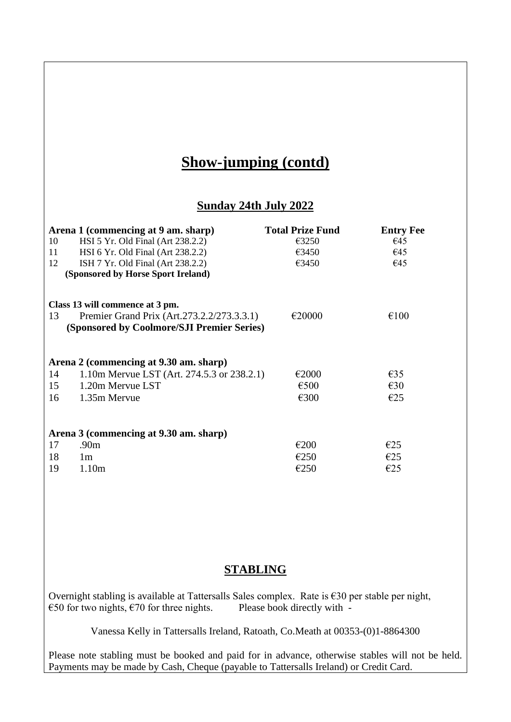# **Show-jumping (contd)**

#### **Sunday 24th July 2022**

|    | Arena 1 (commencing at 9 am. sharp)        | <b>Total Prize Fund</b> | <b>Entry Fee</b> |
|----|--------------------------------------------|-------------------------|------------------|
| 10 | HSI 5 Yr. Old Final (Art 238.2.2)          | €3250                   | €45              |
| 11 | HSI 6 Yr. Old Final (Art 238.2.2)          | €3450                   | $\epsilon$ 45    |
| 12 | ISH 7 Yr. Old Final (Art 238.2.2)          | €3450                   | €45              |
|    | (Sponsored by Horse Sport Ireland)         |                         |                  |
|    | Class 13 will commence at 3 pm.            |                         |                  |
| 13 | Premier Grand Prix (Art.273.2.2/273.3.3.1) | €20000                  | €100             |
|    | (Sponsored by Coolmore/SJI Premier Series) |                         |                  |
|    |                                            |                         |                  |
|    | Arena 2 (commencing at 9.30 am. sharp)     |                         |                  |
| 14 | 1.10m Mervue LST (Art. 274.5.3 or 238.2.1) | €2000                   | $\epsilon$ 35    |
| 15 | 1.20m Mervue LST                           | €500                    | $\epsilon$ 30    |
| 16 | 1.35m Mervue                               | €300                    | E25              |
|    |                                            |                         |                  |
|    | Arena 3 (commencing at 9.30 am. sharp)     |                         |                  |
| 17 | .90m                                       | $\epsilon$ 200          | $\epsilon$ 25    |
| 18 | 1 <sub>m</sub>                             | €250                    | E25              |
| 19 | 1.10m                                      | €250                    | E25              |

#### **STABLING**

Overnight stabling is available at Tattersalls Sales complex. Rate is  $\epsilon$ 30 per stable per night,  $\epsilon$ 50 for two nights,  $\epsilon$ 70 for three nights. Please book directly with -

Vanessa Kelly in Tattersalls Ireland, Ratoath, Co.Meath at 00353-(0)1-8864300

Please note stabling must be booked and paid for in advance, otherwise stables will not be held. Payments may be made by Cash, Cheque (payable to Tattersalls Ireland) or Credit Card.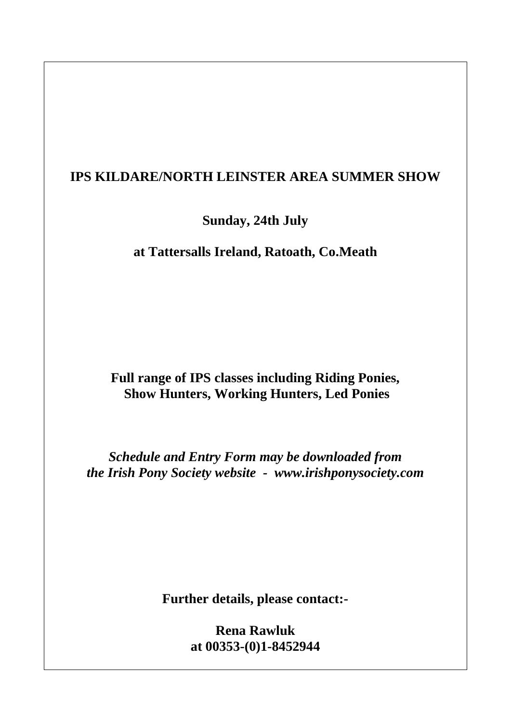# **IPS KILDARE/NORTH LEINSTER AREA SUMMER SHOW**

**Sunday, 24th July**

**at Tattersalls Ireland, Ratoath, Co.Meath**

**Full range of IPS classes including Riding Ponies, Show Hunters, Working Hunters, Led Ponies**

*Schedule and Entry Form may be downloaded from the Irish Pony Society website - www.irishponysociety.com*

**Further details, please contact:-**

**Rena Rawluk at 00353-(0)1-8452944**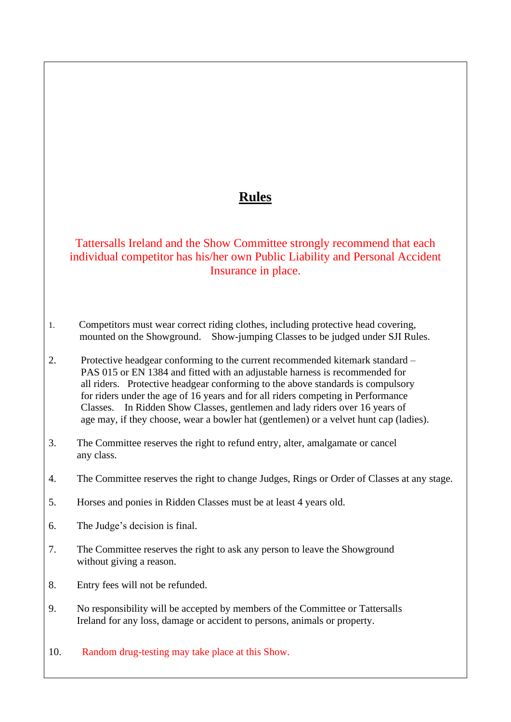# **Rules**

Tattersalls Ireland and the Show Committee strongly recommend that each individual competitor has his/her own Public Liability and Personal Accident Insurance in place.

- 1. Competitors must wear correct riding clothes, including protective head covering, mounted on the Showground. Show-jumping Classes to be judged under SJI Rules.
- 2. Protective headgear conforming to the current recommended kitemark standard PAS 015 or EN 1384 and fitted with an adjustable harness is recommended for all riders. Protective headgear conforming to the above standards is compulsory for riders under the age of 16 years and for all riders competing in Performance Classes. In Ridden Show Classes, gentlemen and lady riders over 16 years of age may, if they choose, wear a bowler hat (gentlemen) or a velvet hunt cap (ladies).
- 3. The Committee reserves the right to refund entry, alter, amalgamate or cancel any class.
- 4. The Committee reserves the right to change Judges, Rings or Order of Classes at any stage.
- 5. Horses and ponies in Ridden Classes must be at least 4 years old.
- 6. The Judge's decision is final.
- 7. The Committee reserves the right to ask any person to leave the Showground without giving a reason.
- 8. Entry fees will not be refunded.
- 9. No responsibility will be accepted by members of the Committee or Tattersalls Ireland for any loss, damage or accident to persons, animals or property.
- 10. Random drug-testing may take place at this Show.